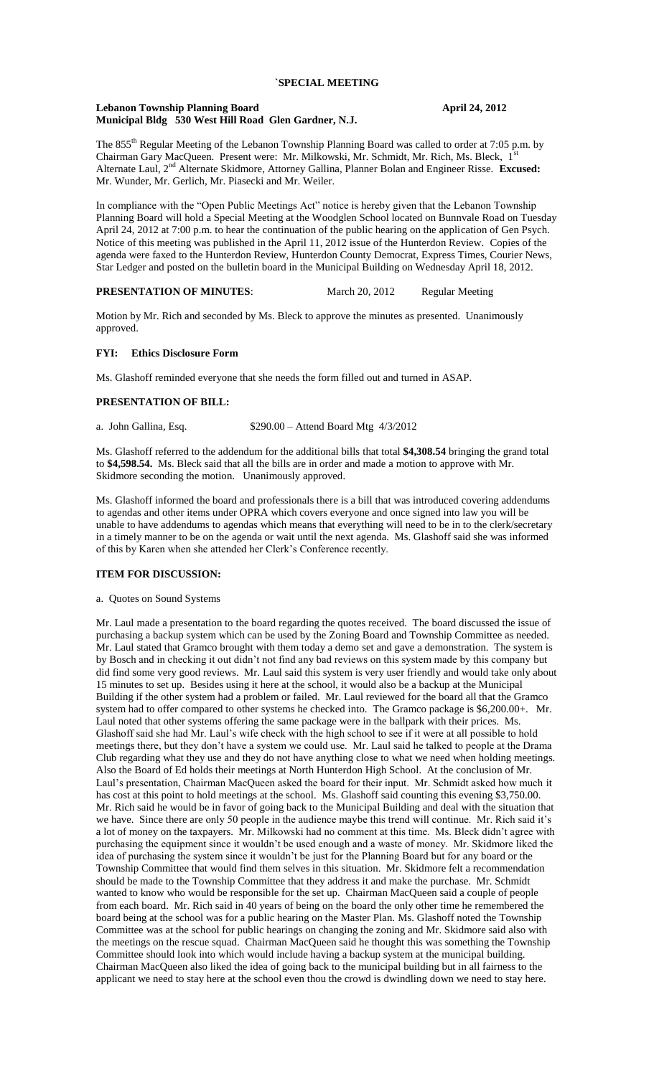#### Lebanon Township Planning Board<br>
April 24, 2012 **Municipal Bldg 530 West Hill Road Glen Gardner, N.J.**

The 855<sup>th</sup> Regular Meeting of the Lebanon Township Planning Board was called to order at 7:05 p.m. by Chairman Gary MacQueen. Present were: Mr. Milkowski, Mr. Schmidt, Mr. Rich, Ms. Bleck, 1<sup>s</sup> Alternate Laul, 2nd Alternate Skidmore, Attorney Gallina, Planner Bolan and Engineer Risse. **Excused:** Mr. Wunder, Mr. Gerlich, Mr. Piasecki and Mr. Weiler.

In compliance with the "Open Public Meetings Act" notice is hereby given that the Lebanon Township Planning Board will hold a Special Meeting at the Woodglen School located on Bunnvale Road on Tuesday April 24, 2012 at 7:00 p.m. to hear the continuation of the public hearing on the application of Gen Psych. Notice of this meeting was published in the April 11, 2012 issue of the Hunterdon Review. Copies of the agenda were faxed to the Hunterdon Review, Hunterdon County Democrat, Express Times, Courier News, Star Ledger and posted on the bulletin board in the Municipal Building on Wednesday April 18, 2012.

# **PRESENTATION OF MINUTES:** March 20, 2012 Regular Meeting

Motion by Mr. Rich and seconded by Ms. Bleck to approve the minutes as presented. Unanimously approved.

## **FYI: Ethics Disclosure Form**

Ms. Glashoff reminded everyone that she needs the form filled out and turned in ASAP.

# **PRESENTATION OF BILL:**

a. John Gallina, Esq. \$290.00 – Attend Board Mtg 4/3/2012

Ms. Glashoff referred to the addendum for the additional bills that total **\$4,308.54** bringing the grand total to **\$4,598.54.** Ms. Bleck said that all the bills are in order and made a motion to approve with Mr. Skidmore seconding the motion. Unanimously approved.

Ms. Glashoff informed the board and professionals there is a bill that was introduced covering addendums to agendas and other items under OPRA which covers everyone and once signed into law you will be unable to have addendums to agendas which means that everything will need to be in to the clerk/secretary in a timely manner to be on the agenda or wait until the next agenda. Ms. Glashoff said she was informed of this by Karen when she attended her Clerk's Conference recently.

## **ITEM FOR DISCUSSION:**

a. Quotes on Sound Systems

Mr. Laul made a presentation to the board regarding the quotes received. The board discussed the issue of purchasing a backup system which can be used by the Zoning Board and Township Committee as needed. Mr. Laul stated that Gramco brought with them today a demo set and gave a demonstration. The system is by Bosch and in checking it out didn't not find any bad reviews on this system made by this company but did find some very good reviews. Mr. Laul said this system is very user friendly and would take only about 15 minutes to set up. Besides using it here at the school, it would also be a backup at the Municipal Building if the other system had a problem or failed. Mr. Laul reviewed for the board all that the Gramco system had to offer compared to other systems he checked into. The Gramco package is \$6,200.00+. Mr. Laul noted that other systems offering the same package were in the ballpark with their prices. Ms. Glashoff said she had Mr. Laul's wife check with the high school to see if it were at all possible to hold meetings there, but they don't have a system we could use. Mr. Laul said he talked to people at the Drama Club regarding what they use and they do not have anything close to what we need when holding meetings. Also the Board of Ed holds their meetings at North Hunterdon High School. At the conclusion of Mr. Laul's presentation, Chairman MacQueen asked the board for their input. Mr. Schmidt asked how much it has cost at this point to hold meetings at the school. Ms. Glashoff said counting this evening \$3,750.00. Mr. Rich said he would be in favor of going back to the Municipal Building and deal with the situation that we have. Since there are only 50 people in the audience maybe this trend will continue. Mr. Rich said it's a lot of money on the taxpayers. Mr. Milkowski had no comment at this time. Ms. Bleck didn't agree with purchasing the equipment since it wouldn't be used enough and a waste of money. Mr. Skidmore liked the idea of purchasing the system since it wouldn't be just for the Planning Board but for any board or the Township Committee that would find them selves in this situation. Mr. Skidmore felt a recommendation should be made to the Township Committee that they address it and make the purchase. Mr. Schmidt wanted to know who would be responsible for the set up. Chairman MacQueen said a couple of people from each board. Mr. Rich said in 40 years of being on the board the only other time he remembered the board being at the school was for a public hearing on the Master Plan. Ms. Glashoff noted the Township Committee was at the school for public hearings on changing the zoning and Mr. Skidmore said also with the meetings on the rescue squad. Chairman MacQueen said he thought this was something the Township Committee should look into which would include having a backup system at the municipal building. Chairman MacQueen also liked the idea of going back to the municipal building but in all fairness to the applicant we need to stay here at the school even thou the crowd is dwindling down we need to stay here.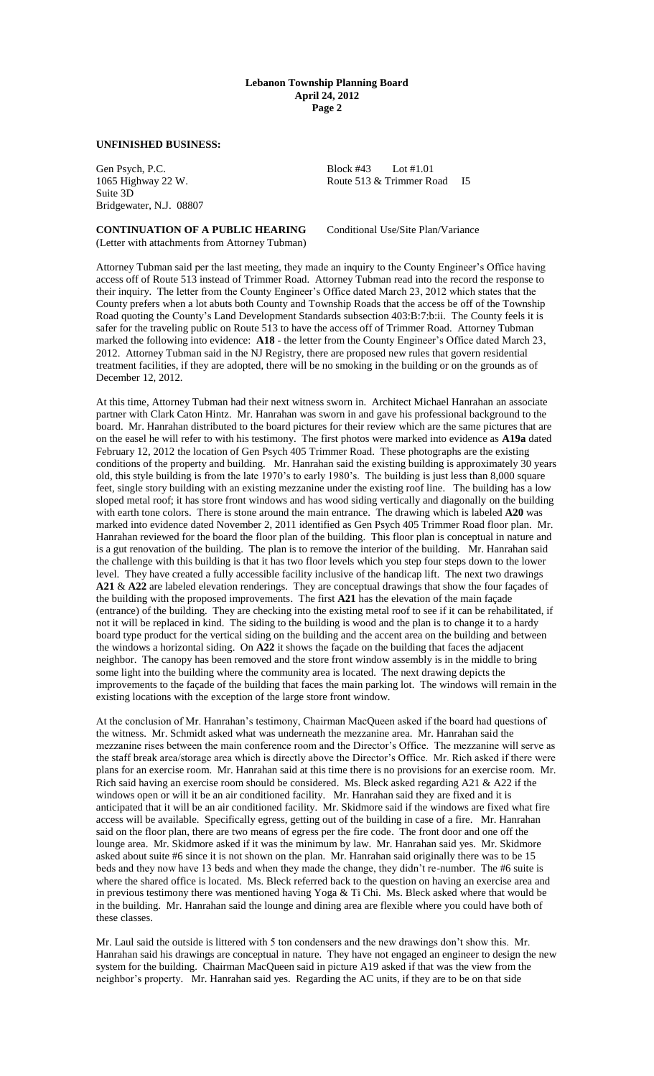# **UNFINISHED BUSINESS:**

Gen Psych, P.C. Block #43 Lot #1.01 Suite 3D Bridgewater, N.J. 08807

### **CONTINUATION OF A PUBLIC HEARING** Conditional Use/Site Plan/Variance (Letter with attachments from Attorney Tubman)

1065 Highway 22 W. Route 513 & Trimmer Road I5

Attorney Tubman said per the last meeting, they made an inquiry to the County Engineer's Office having access off of Route 513 instead of Trimmer Road. Attorney Tubman read into the record the response to their inquiry. The letter from the County Engineer's Office dated March 23, 2012 which states that the County prefers when a lot abuts both County and Township Roads that the access be off of the Township Road quoting the County's Land Development Standards subsection 403:B:7:b:ii. The County feels it is safer for the traveling public on Route 513 to have the access off of Trimmer Road. Attorney Tubman marked the following into evidence: **A18** - the letter from the County Engineer's Office dated March 23, 2012. Attorney Tubman said in the NJ Registry, there are proposed new rules that govern residential treatment facilities, if they are adopted, there will be no smoking in the building or on the grounds as of December 12, 2012.

At this time, Attorney Tubman had their next witness sworn in. Architect Michael Hanrahan an associate partner with Clark Caton Hintz. Mr. Hanrahan was sworn in and gave his professional background to the board. Mr. Hanrahan distributed to the board pictures for their review which are the same pictures that are on the easel he will refer to with his testimony. The first photos were marked into evidence as **A19a** dated February 12, 2012 the location of Gen Psych 405 Trimmer Road. These photographs are the existing conditions of the property and building. Mr. Hanrahan said the existing building is approximately 30 years old, this style building is from the late 1970's to early 1980's. The building is just less than 8,000 square feet, single story building with an existing mezzanine under the existing roof line. The building has a low sloped metal roof; it has store front windows and has wood siding vertically and diagonally on the building with earth tone colors. There is stone around the main entrance. The drawing which is labeled **A20** was marked into evidence dated November 2, 2011 identified as Gen Psych 405 Trimmer Road floor plan. Mr. Hanrahan reviewed for the board the floor plan of the building. This floor plan is conceptual in nature and is a gut renovation of the building. The plan is to remove the interior of the building. Mr. Hanrahan said the challenge with this building is that it has two floor levels which you step four steps down to the lower level. They have created a fully accessible facility inclusive of the handicap lift. The next two drawings **A21** & **A22** are labeled elevation renderings. They are conceptual drawings that show the four façades of the building with the proposed improvements. The first **A21** has the elevation of the main façade (entrance) of the building. They are checking into the existing metal roof to see if it can be rehabilitated, if not it will be replaced in kind. The siding to the building is wood and the plan is to change it to a hardy board type product for the vertical siding on the building and the accent area on the building and between the windows a horizontal siding. On **A22** it shows the façade on the building that faces the adjacent neighbor. The canopy has been removed and the store front window assembly is in the middle to bring some light into the building where the community area is located. The next drawing depicts the improvements to the façade of the building that faces the main parking lot. The windows will remain in the existing locations with the exception of the large store front window.

At the conclusion of Mr. Hanrahan's testimony, Chairman MacQueen asked if the board had questions of the witness. Mr. Schmidt asked what was underneath the mezzanine area. Mr. Hanrahan said the mezzanine rises between the main conference room and the Director's Office. The mezzanine will serve as the staff break area/storage area which is directly above the Director's Office. Mr. Rich asked if there were plans for an exercise room. Mr. Hanrahan said at this time there is no provisions for an exercise room. Mr. Rich said having an exercise room should be considered. Ms. Bleck asked regarding A21 & A22 if the windows open or will it be an air conditioned facility. Mr. Hanrahan said they are fixed and it is anticipated that it will be an air conditioned facility. Mr. Skidmore said if the windows are fixed what fire access will be available. Specifically egress, getting out of the building in case of a fire. Mr. Hanrahan said on the floor plan, there are two means of egress per the fire code. The front door and one off the lounge area. Mr. Skidmore asked if it was the minimum by law. Mr. Hanrahan said yes. Mr. Skidmore asked about suite #6 since it is not shown on the plan. Mr. Hanrahan said originally there was to be 15 beds and they now have 13 beds and when they made the change, they didn't re-number. The #6 suite is where the shared office is located. Ms. Bleck referred back to the question on having an exercise area and in previous testimony there was mentioned having Yoga & Ti Chi. Ms. Bleck asked where that would be in the building. Mr. Hanrahan said the lounge and dining area are flexible where you could have both of these classes.

Mr. Laul said the outside is littered with 5 ton condensers and the new drawings don't show this. Mr. Hanrahan said his drawings are conceptual in nature. They have not engaged an engineer to design the new system for the building. Chairman MacQueen said in picture A19 asked if that was the view from the neighbor's property. Mr. Hanrahan said yes. Regarding the AC units, if they are to be on that side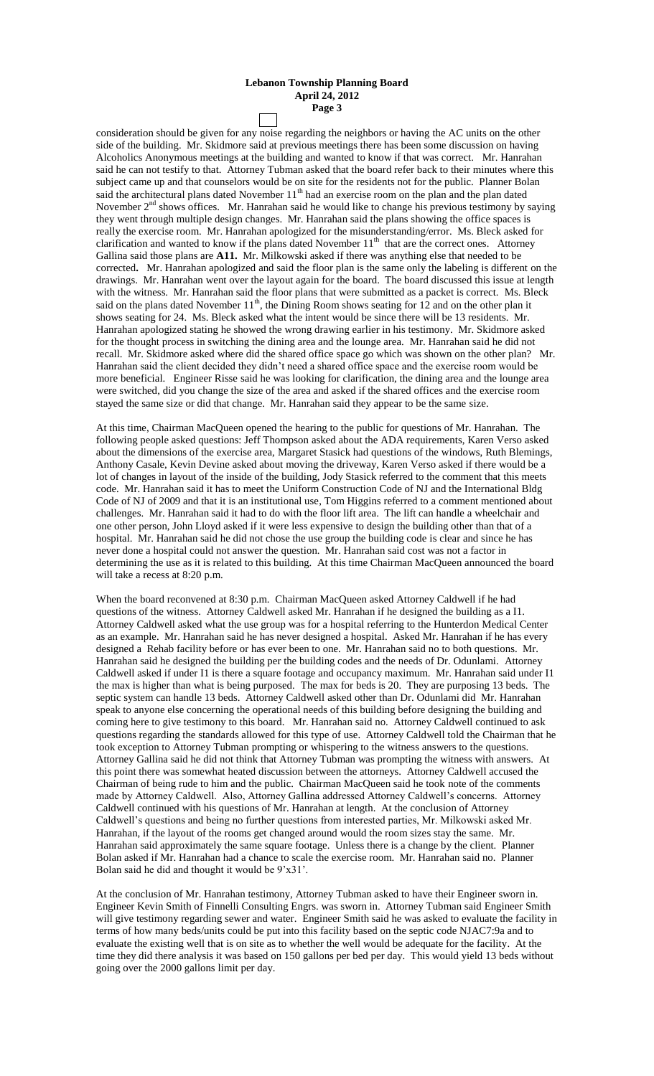consideration should be given for any noise regarding the neighbors or having the AC units on the other side of the building. Mr. Skidmore said at previous meetings there has been some discussion on having Alcoholics Anonymous meetings at the building and wanted to know if that was correct. Mr. Hanrahan said he can not testify to that. Attorney Tubman asked that the board refer back to their minutes where this subject came up and that counselors would be on site for the residents not for the public. Planner Bolan said the architectural plans dated November 11<sup>th</sup> had an exercise room on the plan and the plan dated November 2<sup>nd</sup> shows offices. Mr. Hanrahan said he would like to change his previous testimony by saying they went through multiple design changes. Mr. Hanrahan said the plans showing the office spaces is really the exercise room. Mr. Hanrahan apologized for the misunderstanding/error. Ms. Bleck asked for clarification and wanted to know if the plans dated November  $11<sup>th</sup>$  that are the correct ones. Attorney Gallina said those plans are **A11.** Mr. Milkowski asked if there was anything else that needed to be corrected**.** Mr. Hanrahan apologized and said the floor plan is the same only the labeling is different on the drawings. Mr. Hanrahan went over the layout again for the board. The board discussed this issue at length with the witness. Mr. Hanrahan said the floor plans that were submitted as a packet is correct. Ms. Bleck said on the plans dated November  $11<sup>th</sup>$ , the Dining Room shows seating for 12 and on the other plan it shows seating for 24. Ms. Bleck asked what the intent would be since there will be 13 residents. Mr. Hanrahan apologized stating he showed the wrong drawing earlier in his testimony. Mr. Skidmore asked for the thought process in switching the dining area and the lounge area. Mr. Hanrahan said he did not recall. Mr. Skidmore asked where did the shared office space go which was shown on the other plan? Mr. Hanrahan said the client decided they didn't need a shared office space and the exercise room would be more beneficial. Engineer Risse said he was looking for clarification, the dining area and the lounge area were switched, did you change the size of the area and asked if the shared offices and the exercise room stayed the same size or did that change. Mr. Hanrahan said they appear to be the same size.

At this time, Chairman MacQueen opened the hearing to the public for questions of Mr. Hanrahan. The following people asked questions: Jeff Thompson asked about the ADA requirements, Karen Verso asked about the dimensions of the exercise area, Margaret Stasick had questions of the windows, Ruth Blemings, Anthony Casale, Kevin Devine asked about moving the driveway, Karen Verso asked if there would be a lot of changes in layout of the inside of the building, Jody Stasick referred to the comment that this meets code. Mr. Hanrahan said it has to meet the Uniform Construction Code of NJ and the International Bldg Code of NJ of 2009 and that it is an institutional use, Tom Higgins referred to a comment mentioned about challenges. Mr. Hanrahan said it had to do with the floor lift area. The lift can handle a wheelchair and one other person, John Lloyd asked if it were less expensive to design the building other than that of a hospital. Mr. Hanrahan said he did not chose the use group the building code is clear and since he has never done a hospital could not answer the question. Mr. Hanrahan said cost was not a factor in determining the use as it is related to this building. At this time Chairman MacQueen announced the board will take a recess at 8:20 p.m.

When the board reconvened at 8:30 p.m. Chairman MacQueen asked Attorney Caldwell if he had questions of the witness. Attorney Caldwell asked Mr. Hanrahan if he designed the building as a I1. Attorney Caldwell asked what the use group was for a hospital referring to the Hunterdon Medical Center as an example. Mr. Hanrahan said he has never designed a hospital. Asked Mr. Hanrahan if he has every designed a Rehab facility before or has ever been to one. Mr. Hanrahan said no to both questions. Mr. Hanrahan said he designed the building per the building codes and the needs of Dr. Odunlami. Attorney Caldwell asked if under I1 is there a square footage and occupancy maximum. Mr. Hanrahan said under I1 the max is higher than what is being purposed. The max for beds is 20. They are purposing 13 beds. The septic system can handle 13 beds. Attorney Caldwell asked other than Dr. Odunlami did Mr. Hanrahan speak to anyone else concerning the operational needs of this building before designing the building and coming here to give testimony to this board. Mr. Hanrahan said no. Attorney Caldwell continued to ask questions regarding the standards allowed for this type of use. Attorney Caldwell told the Chairman that he took exception to Attorney Tubman prompting or whispering to the witness answers to the questions. Attorney Gallina said he did not think that Attorney Tubman was prompting the witness with answers. At this point there was somewhat heated discussion between the attorneys. Attorney Caldwell accused the Chairman of being rude to him and the public. Chairman MacQueen said he took note of the comments made by Attorney Caldwell. Also, Attorney Gallina addressed Attorney Caldwell's concerns. Attorney Caldwell continued with his questions of Mr. Hanrahan at length. At the conclusion of Attorney Caldwell's questions and being no further questions from interested parties, Mr. Milkowski asked Mr. Hanrahan, if the layout of the rooms get changed around would the room sizes stay the same. Mr. Hanrahan said approximately the same square footage. Unless there is a change by the client. Planner Bolan asked if Mr. Hanrahan had a chance to scale the exercise room. Mr. Hanrahan said no. Planner Bolan said he did and thought it would be 9'x31'.

At the conclusion of Mr. Hanrahan testimony, Attorney Tubman asked to have their Engineer sworn in. Engineer Kevin Smith of Finnelli Consulting Engrs. was sworn in. Attorney Tubman said Engineer Smith will give testimony regarding sewer and water. Engineer Smith said he was asked to evaluate the facility in terms of how many beds/units could be put into this facility based on the septic code NJAC7:9a and to evaluate the existing well that is on site as to whether the well would be adequate for the facility. At the time they did there analysis it was based on 150 gallons per bed per day. This would yield 13 beds without going over the 2000 gallons limit per day.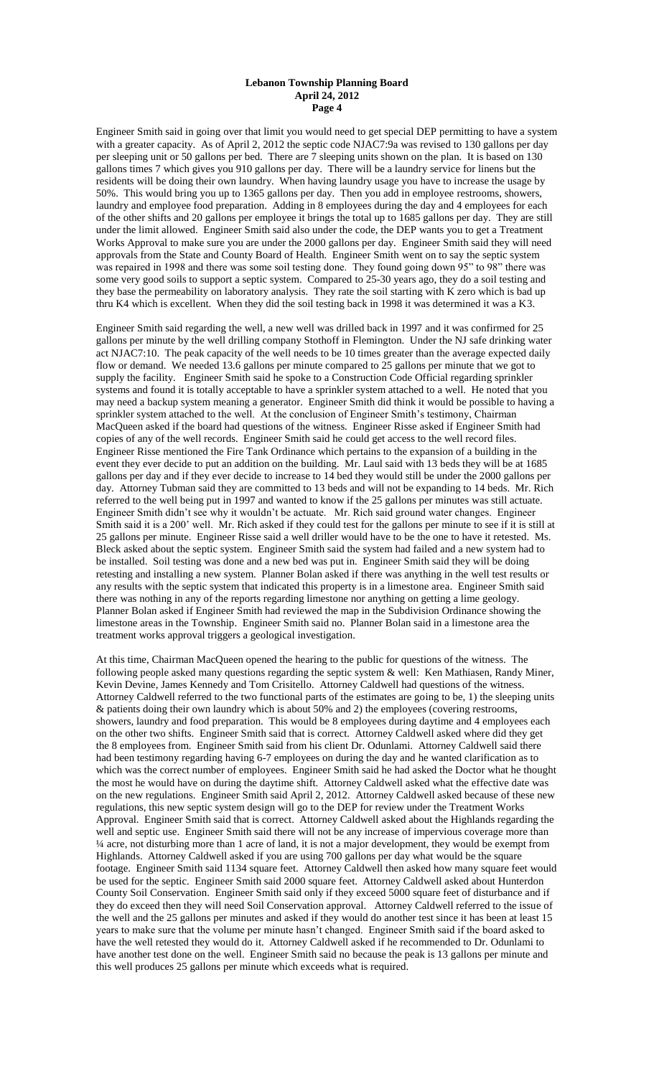Engineer Smith said in going over that limit you would need to get special DEP permitting to have a system with a greater capacity. As of April 2, 2012 the septic code NJAC7:9a was revised to 130 gallons per day per sleeping unit or 50 gallons per bed. There are 7 sleeping units shown on the plan. It is based on 130 gallons times 7 which gives you 910 gallons per day. There will be a laundry service for linens but the residents will be doing their own laundry. When having laundry usage you have to increase the usage by 50%. This would bring you up to 1365 gallons per day. Then you add in employee restrooms, showers, laundry and employee food preparation. Adding in 8 employees during the day and 4 employees for each of the other shifts and 20 gallons per employee it brings the total up to 1685 gallons per day. They are still under the limit allowed. Engineer Smith said also under the code, the DEP wants you to get a Treatment Works Approval to make sure you are under the 2000 gallons per day. Engineer Smith said they will need approvals from the State and County Board of Health. Engineer Smith went on to say the septic system was repaired in 1998 and there was some soil testing done. They found going down 95" to 98" there was some very good soils to support a septic system. Compared to 25-30 years ago, they do a soil testing and they base the permeability on laboratory analysis. They rate the soil starting with K zero which is bad up thru K4 which is excellent. When they did the soil testing back in 1998 it was determined it was a K3.

Engineer Smith said regarding the well, a new well was drilled back in 1997 and it was confirmed for 25 gallons per minute by the well drilling company Stothoff in Flemington. Under the NJ safe drinking water act NJAC7:10. The peak capacity of the well needs to be 10 times greater than the average expected daily flow or demand. We needed 13.6 gallons per minute compared to 25 gallons per minute that we got to supply the facility. Engineer Smith said he spoke to a Construction Code Official regarding sprinkler systems and found it is totally acceptable to have a sprinkler system attached to a well. He noted that you may need a backup system meaning a generator. Engineer Smith did think it would be possible to having a sprinkler system attached to the well. At the conclusion of Engineer Smith's testimony, Chairman MacQueen asked if the board had questions of the witness. Engineer Risse asked if Engineer Smith had copies of any of the well records. Engineer Smith said he could get access to the well record files. Engineer Risse mentioned the Fire Tank Ordinance which pertains to the expansion of a building in the event they ever decide to put an addition on the building. Mr. Laul said with 13 beds they will be at 1685 gallons per day and if they ever decide to increase to 14 bed they would still be under the 2000 gallons per day. Attorney Tubman said they are committed to 13 beds and will not be expanding to 14 beds. Mr. Rich referred to the well being put in 1997 and wanted to know if the 25 gallons per minutes was still actuate. Engineer Smith didn't see why it wouldn't be actuate. Mr. Rich said ground water changes. Engineer Smith said it is a 200' well. Mr. Rich asked if they could test for the gallons per minute to see if it is still at 25 gallons per minute. Engineer Risse said a well driller would have to be the one to have it retested. Ms. Bleck asked about the septic system. Engineer Smith said the system had failed and a new system had to be installed. Soil testing was done and a new bed was put in. Engineer Smith said they will be doing retesting and installing a new system. Planner Bolan asked if there was anything in the well test results or any results with the septic system that indicated this property is in a limestone area. Engineer Smith said there was nothing in any of the reports regarding limestone nor anything on getting a lime geology. Planner Bolan asked if Engineer Smith had reviewed the map in the Subdivision Ordinance showing the limestone areas in the Township. Engineer Smith said no. Planner Bolan said in a limestone area the treatment works approval triggers a geological investigation.

At this time, Chairman MacQueen opened the hearing to the public for questions of the witness. The following people asked many questions regarding the septic system & well: Ken Mathiasen, Randy Miner, Kevin Devine, James Kennedy and Tom Crisitello. Attorney Caldwell had questions of the witness. Attorney Caldwell referred to the two functional parts of the estimates are going to be, 1) the sleeping units & patients doing their own laundry which is about 50% and 2) the employees (covering restrooms, showers, laundry and food preparation. This would be 8 employees during daytime and 4 employees each on the other two shifts. Engineer Smith said that is correct. Attorney Caldwell asked where did they get the 8 employees from. Engineer Smith said from his client Dr. Odunlami. Attorney Caldwell said there had been testimony regarding having 6-7 employees on during the day and he wanted clarification as to which was the correct number of employees. Engineer Smith said he had asked the Doctor what he thought the most he would have on during the daytime shift. Attorney Caldwell asked what the effective date was on the new regulations. Engineer Smith said April 2, 2012. Attorney Caldwell asked because of these new regulations, this new septic system design will go to the DEP for review under the Treatment Works Approval. Engineer Smith said that is correct. Attorney Caldwell asked about the Highlands regarding the well and septic use. Engineer Smith said there will not be any increase of impervious coverage more than ¼ acre, not disturbing more than 1 acre of land, it is not a major development, they would be exempt from Highlands. Attorney Caldwell asked if you are using 700 gallons per day what would be the square footage. Engineer Smith said 1134 square feet. Attorney Caldwell then asked how many square feet would be used for the septic. Engineer Smith said 2000 square feet. Attorney Caldwell asked about Hunterdon County Soil Conservation. Engineer Smith said only if they exceed 5000 square feet of disturbance and if they do exceed then they will need Soil Conservation approval. Attorney Caldwell referred to the issue of the well and the 25 gallons per minutes and asked if they would do another test since it has been at least 15 years to make sure that the volume per minute hasn't changed. Engineer Smith said if the board asked to have the well retested they would do it. Attorney Caldwell asked if he recommended to Dr. Odunlami to have another test done on the well. Engineer Smith said no because the peak is 13 gallons per minute and this well produces 25 gallons per minute which exceeds what is required.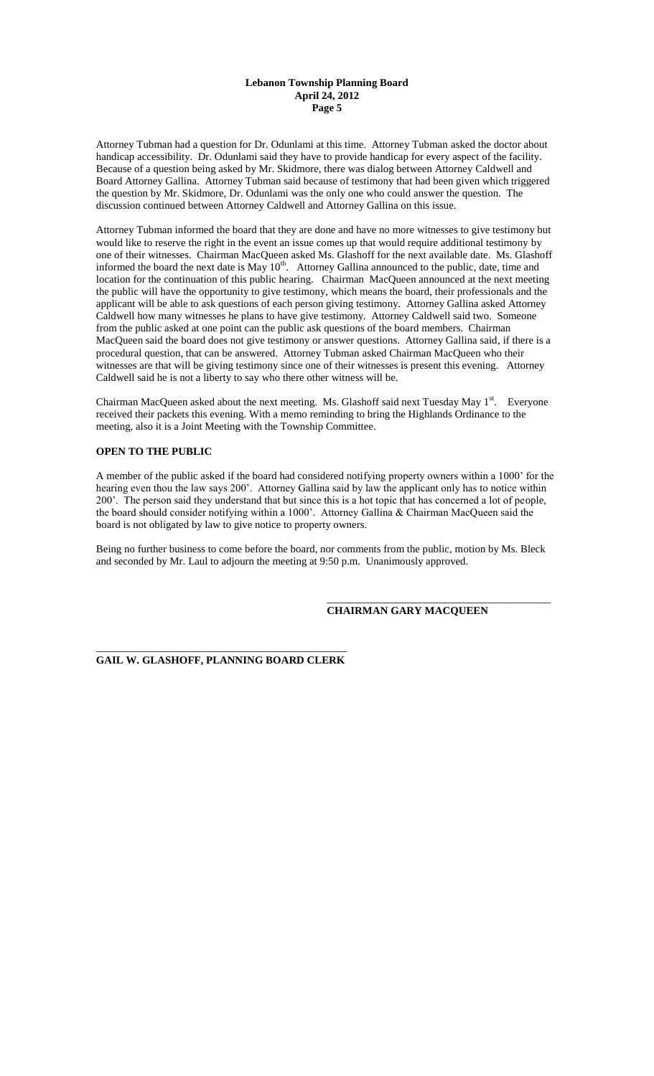Attorney Tubman had a question for Dr. Odunlami at this time. Attorney Tubman asked the doctor about handicap accessibility. Dr. Odunlami said they have to provide handicap for every aspect of the facility. Because of a question being asked by Mr. Skidmore, there was dialog between Attorney Caldwell and Board Attorney Gallina. Attorney Tubman said because of testimony that had been given which triggered the question by Mr. Skidmore, Dr. Odunlami was the only one who could answer the question. The discussion continued between Attorney Caldwell and Attorney Gallina on this issue.

Attorney Tubman informed the board that they are done and have no more witnesses to give testimony but would like to reserve the right in the event an issue comes up that would require additional testimony by one of their witnesses. Chairman MacQueen asked Ms. Glashoff for the next available date. Ms. Glashoff informed the board the next date is May 10<sup>th</sup>. Attorney Gallina announced to the public, date, time and location for the continuation of this public hearing. Chairman MacQueen announced at the next meeting the public will have the opportunity to give testimony, which means the board, their professionals and the applicant will be able to ask questions of each person giving testimony. Attorney Gallina asked Attorney Caldwell how many witnesses he plans to have give testimony. Attorney Caldwell said two. Someone from the public asked at one point can the public ask questions of the board members. Chairman MacQueen said the board does not give testimony or answer questions. Attorney Gallina said, if there is a procedural question, that can be answered. Attorney Tubman asked Chairman MacQueen who their witnesses are that will be giving testimony since one of their witnesses is present this evening. Attorney Caldwell said he is not a liberty to say who there other witness will be.

Chairman MacQueen asked about the next meeting. Ms. Glashoff said next Tuesday May 1<sup>st</sup>. Everyone received their packets this evening. With a memo reminding to bring the Highlands Ordinance to the meeting, also it is a Joint Meeting with the Township Committee.

# **OPEN TO THE PUBLIC**

A member of the public asked if the board had considered notifying property owners within a 1000' for the hearing even thou the law says 200'. Attorney Gallina said by law the applicant only has to notice within 200'. The person said they understand that but since this is a hot topic that has concerned a lot of people, the board should consider notifying within a 1000'. Attorney Gallina & Chairman MacQueen said the board is not obligated by law to give notice to property owners.

Being no further business to come before the board, nor comments from the public, motion by Ms. Bleck and seconded by Mr. Laul to adjourn the meeting at 9:50 p.m. Unanimously approved.

# **CHAIRMAN GARY MACQUEEN**

\_\_\_\_\_\_\_\_\_\_\_\_\_\_\_\_\_\_\_\_\_\_\_\_\_\_\_\_\_\_\_\_\_\_\_\_\_\_\_\_\_\_

\_\_\_\_\_\_\_\_\_\_\_\_\_\_\_\_\_\_\_\_\_\_\_\_\_\_\_\_\_\_\_\_\_\_\_\_\_\_\_\_\_\_\_\_\_\_\_ **GAIL W. GLASHOFF, PLANNING BOARD CLERK**